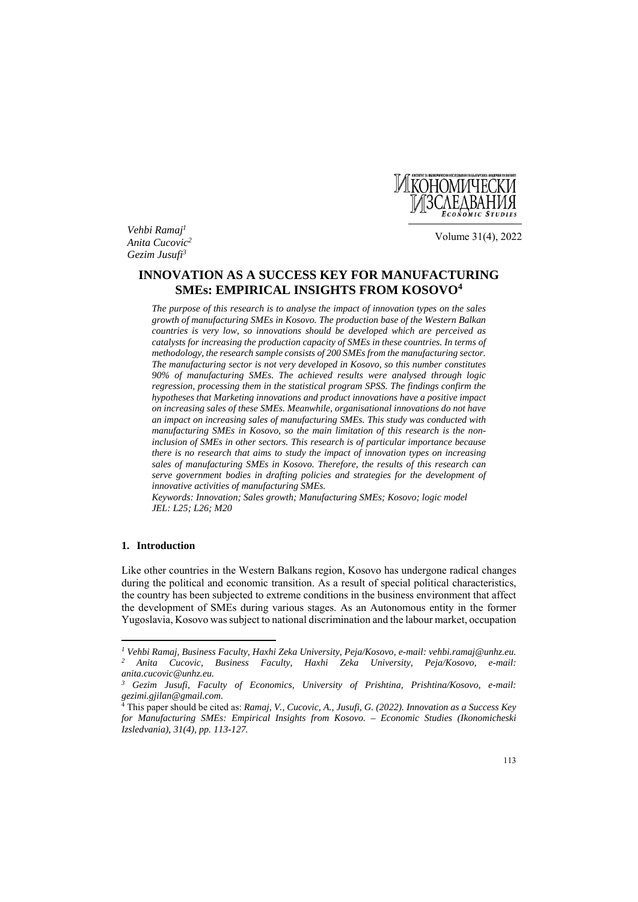

*Vehbi Ramaj1 Anita Cucovic2 Gezim Jusufi3*

Volume 31(4), 2022

# **INNOVATION AS A SUCCESS KEY FOR MANUFACTURING SMEs: EMPIRICAL INSIGHTS FROM KOSOVO4**

*The purpose of this research is to analyse the impact of innovation types on the sales growth of manufacturing SMEs in Kosovo. The production base of the Western Balkan countries is very low, so innovations should be developed which are perceived as catalysts for increasing the production capacity of SMEs in these countries. In terms of methodology, the research sample consists of 200 SMEs from the manufacturing sector. The manufacturing sector is not very developed in Kosovo, so this number constitutes 90% of manufacturing SMEs. The achieved results were analysed through logic regression, processing them in the statistical program SPSS. The findings confirm the hypotheses that Marketing innovations and product innovations have a positive impact on increasing sales of these SMEs. Meanwhile, organisational innovations do not have an impact on increasing sales of manufacturing SMEs. This study was conducted with manufacturing SMEs in Kosovo, so the main limitation of this research is the noninclusion of SMEs in other sectors. This research is of particular importance because there is no research that aims to study the impact of innovation types on increasing sales of manufacturing SMEs in Kosovo. Therefore, the results of this research can serve government bodies in drafting policies and strategies for the development of innovative activities of manufacturing SMEs.* 

*Keywords: Innovation; Sales growth; Manufacturing SMEs; Kosovo; logic model JEL: L25; L26; M20*

## **1. Introduction**

 $\overline{\phantom{a}}$ 

Like other countries in the Western Balkans region, Kosovo has undergone radical changes during the political and economic transition. As a result of special political characteristics, the country has been subjected to extreme conditions in the business environment that affect the development of SMEs during various stages. As an Autonomous entity in the former Yugoslavia, Kosovo was subject to national discrimination and the labour market, occupation

*<sup>1</sup> Vehbi Ramaj, Business Faculty, Haxhi Zeka University, Peja/Kosovo, e-mail: vehbi.ramaj@unhz.eu. 2 Anita Cucovic, Business Faculty, Haxhi Zeka University, Peja/Kosovo, e-mail: anita.cucovic@unhz.eu.* 

*<sup>3</sup> Gezim Jusufi, Faculty of Economics, University of Prishtina, Prishtina/Kosovo, e-mail: gezimi.gjilan@gmail.com.* 

<sup>4</sup> This paper should be cited as: *Ramaj, V., Cucovic, A., Jusufi, G. (2022). Innovation as a Success Key for Manufacturing SMEs: Empirical Insights from Kosovo. – Economic Studies (Ikonomicheski Izsledvania), 31(4), pp. 113-127.*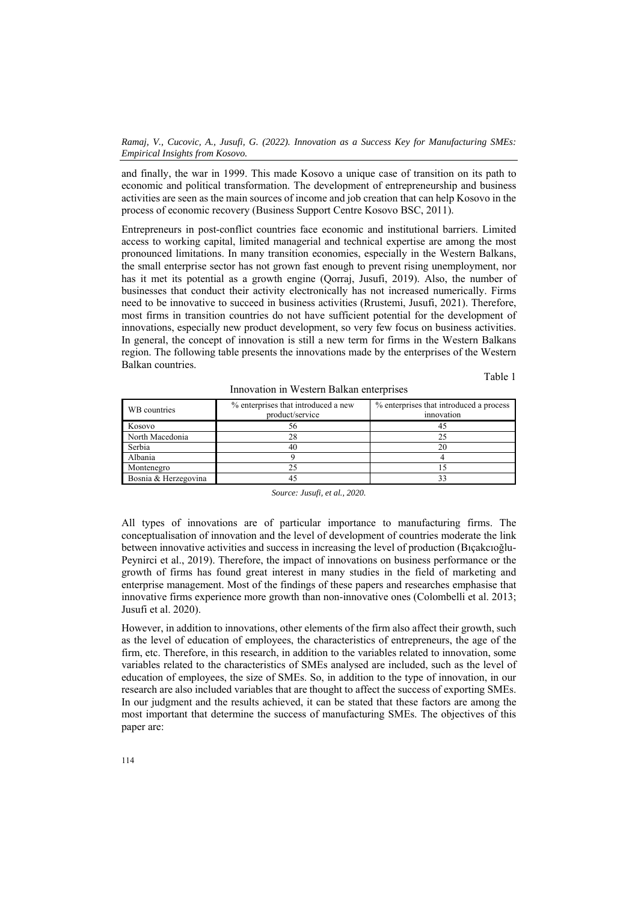*Ramaj, V., Cucovic, A., Jusufi, G. (2022). Innovation as a Success Key for Manufacturing SMEs: Empirical Insights from Kosovo.* 

and finally, the war in 1999. This made Kosovo a unique case of transition on its path to economic and political transformation. The development of entrepreneurship and business activities are seen as the main sources of income and job creation that can help Kosovo in the process of economic recovery (Business Support Centre Kosovo BSC, 2011).

Entrepreneurs in post-conflict countries face economic and institutional barriers. Limited access to working capital, limited managerial and technical expertise are among the most pronounced limitations. In many transition economies, especially in the Western Balkans, the small enterprise sector has not grown fast enough to prevent rising unemployment, nor has it met its potential as a growth engine (Qorraj, Jusufi, 2019). Also, the number of businesses that conduct their activity electronically has not increased numerically. Firms need to be innovative to succeed in business activities (Rrustemi, Jusufi, 2021). Therefore, most firms in transition countries do not have sufficient potential for the development of innovations, especially new product development, so very few focus on business activities. In general, the concept of innovation is still a new term for firms in the Western Balkans region. The following table presents the innovations made by the enterprises of the Western Balkan countries.

Table 1

| WB countries         | % enterprises that introduced a new<br>product/service | % enterprises that introduced a process<br>innovation |
|----------------------|--------------------------------------------------------|-------------------------------------------------------|
| Kosovo               | 56                                                     |                                                       |
| North Macedonia      |                                                        |                                                       |
| Serbia               | 40                                                     |                                                       |
| Albania              |                                                        |                                                       |
| Montenegro           |                                                        |                                                       |
| Bosnia & Herzegovina |                                                        |                                                       |

Innovation in Western Balkan enterprises

*Source: Jusufi, et al., 2020.* 

All types of innovations are of particular importance to manufacturing firms. The conceptualisation of innovation and the level of development of countries moderate the link between innovative activities and success in increasing the level of production (Bıçakcıoğlu-Peynirci et al., 2019). Therefore, the impact of innovations on business performance or the growth of firms has found great interest in many studies in the field of marketing and enterprise management. Most of the findings of these papers and researches emphasise that innovative firms experience more growth than non-innovative ones (Colombelli et al. 2013; Jusufi et al. 2020).

However, in addition to innovations, other elements of the firm also affect their growth, such as the level of education of employees, the characteristics of entrepreneurs, the age of the firm, etc. Therefore, in this research, in addition to the variables related to innovation, some variables related to the characteristics of SMEs analysed are included, such as the level of education of employees, the size of SMEs. So, in addition to the type of innovation, in our research are also included variables that are thought to affect the success of exporting SMEs. In our judgment and the results achieved, it can be stated that these factors are among the most important that determine the success of manufacturing SMEs. The objectives of this paper are: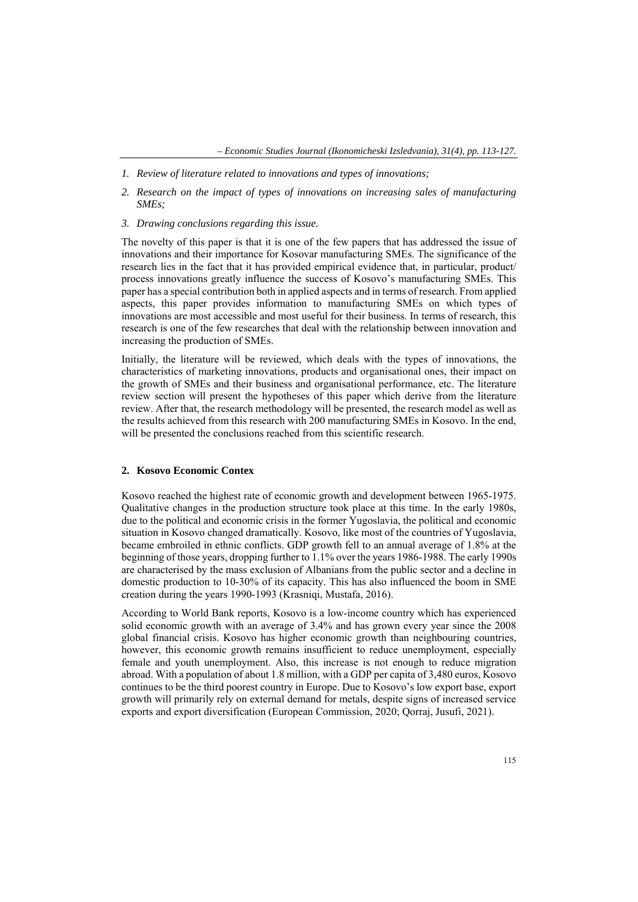- *1. Review of literature related to innovations and types of innovations;*
- *2. Research on the impact of types of innovations on increasing sales of manufacturing SMEs;*
- *3. Drawing conclusions regarding this issue.*

The novelty of this paper is that it is one of the few papers that has addressed the issue of innovations and their importance for Kosovar manufacturing SMEs. The significance of the research lies in the fact that it has provided empirical evidence that, in particular, product/ process innovations greatly influence the success of Kosovo's manufacturing SMEs. This paper has a special contribution both in applied aspects and in terms of research. From applied aspects, this paper provides information to manufacturing SMEs on which types of innovations are most accessible and most useful for their business. In terms of research, this research is one of the few researches that deal with the relationship between innovation and increasing the production of SMEs.

Initially, the literature will be reviewed, which deals with the types of innovations, the characteristics of marketing innovations, products and organisational ones, their impact on the growth of SMEs and their business and organisational performance, etc. The literature review section will present the hypotheses of this paper which derive from the literature review. After that, the research methodology will be presented, the research model as well as the results achieved from this research with 200 manufacturing SMEs in Kosovo. In the end, will be presented the conclusions reached from this scientific research.

#### **2. Kosovo Economic Contex**

Kosovo reached the highest rate of economic growth and development between 1965-1975. Qualitative changes in the production structure took place at this time. In the early 1980s, due to the political and economic crisis in the former Yugoslavia, the political and economic situation in Kosovo changed dramatically. Kosovo, like most of the countries of Yugoslavia, became embroiled in ethnic conflicts. GDP growth fell to an annual average of 1.8% at the beginning of those years, dropping further to 1.1% over the years 1986-1988. The early 1990s are characterised by the mass exclusion of Albanians from the public sector and a decline in domestic production to 10-30% of its capacity. This has also influenced the boom in SME creation during the years 1990-1993 (Krasniqi, Mustafa, 2016).

According to World Bank reports, Kosovo is a low-income country which has experienced solid economic growth with an average of 3.4% and has grown every year since the 2008 global financial crisis. Kosovo has higher economic growth than neighbouring countries, however, this economic growth remains insufficient to reduce unemployment, especially female and youth unemployment. Also, this increase is not enough to reduce migration abroad. With a population of about 1.8 million, with a GDP per capita of 3,480 euros, Kosovo continues to be the third poorest country in Europe. Due to Kosovo's low export base, export growth will primarily rely on external demand for metals, despite signs of increased service exports and export diversification (European Commission, 2020; Qorraj, Jusufi, 2021).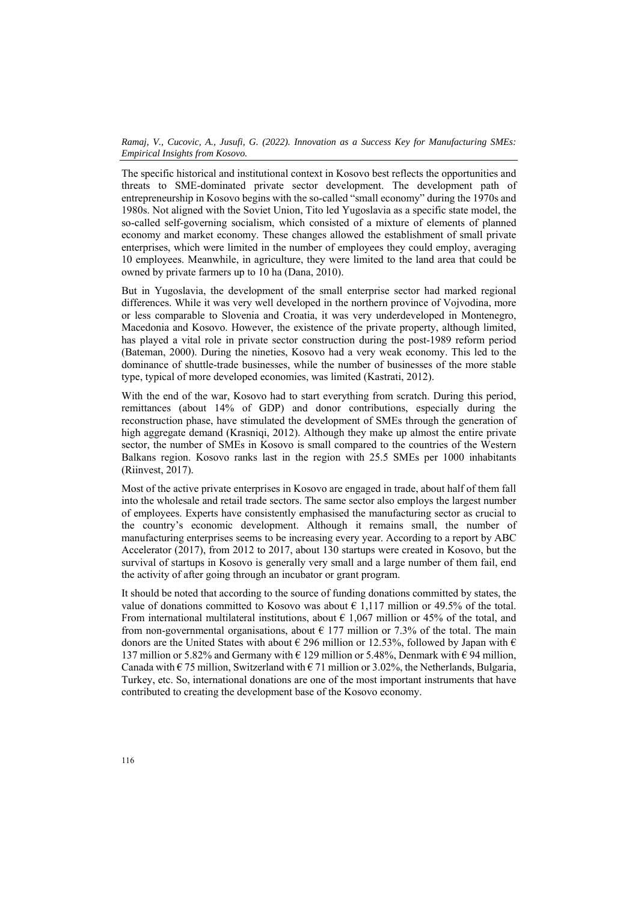The specific historical and institutional context in Kosovo best reflects the opportunities and threats to SME-dominated private sector development. The development path of entrepreneurship in Kosovo begins with the so-called "small economy" during the 1970s and 1980s. Not aligned with the Soviet Union, Tito led Yugoslavia as a specific state model, the so-called self-governing socialism, which consisted of a mixture of elements of planned economy and market economy. These changes allowed the establishment of small private enterprises, which were limited in the number of employees they could employ, averaging 10 employees. Meanwhile, in agriculture, they were limited to the land area that could be owned by private farmers up to 10 ha (Dana, 2010).

But in Yugoslavia, the development of the small enterprise sector had marked regional differences. While it was very well developed in the northern province of Vojvodina, more or less comparable to Slovenia and Croatia, it was very underdeveloped in Montenegro, Macedonia and Kosovo. However, the existence of the private property, although limited, has played a vital role in private sector construction during the post-1989 reform period (Bateman, 2000). During the nineties, Kosovo had a very weak economy. This led to the dominance of shuttle-trade businesses, while the number of businesses of the more stable type, typical of more developed economies, was limited (Kastrati, 2012).

With the end of the war, Kosovo had to start everything from scratch. During this period, remittances (about 14% of GDP) and donor contributions, especially during the reconstruction phase, have stimulated the development of SMEs through the generation of high aggregate demand (Krasniqi, 2012). Although they make up almost the entire private sector, the number of SMEs in Kosovo is small compared to the countries of the Western Balkans region. Kosovo ranks last in the region with 25.5 SMEs per 1000 inhabitants (Riinvest, 2017).

Most of the active private enterprises in Kosovo are engaged in trade, about half of them fall into the wholesale and retail trade sectors. The same sector also employs the largest number of employees. Experts have consistently emphasised the manufacturing sector as crucial to the country's economic development. Although it remains small, the number of manufacturing enterprises seems to be increasing every year. According to a report by ABC Accelerator (2017), from 2012 to 2017, about 130 startups were created in Kosovo, but the survival of startups in Kosovo is generally very small and a large number of them fail, end the activity of after going through an incubator or grant program.

It should be noted that according to the source of funding donations committed by states, the value of donations committed to Kosovo was about  $\epsilon$  1,117 million or 49.5% of the total. From international multilateral institutions, about  $\epsilon$  1,067 million or 45% of the total, and from non-governmental organisations, about  $\epsilon$  177 million or 7.3% of the total. The main donors are the United States with about  $\epsilon$  296 million or 12.53%, followed by Japan with  $\epsilon$ 137 million or 5.82% and Germany with  $\epsilon$  129 million or 5.48%, Denmark with  $\epsilon$  94 million, Canada with  $\epsilon$  75 million, Switzerland with  $\epsilon$  71 million or 3.02%, the Netherlands, Bulgaria, Turkey, etc. So, international donations are one of the most important instruments that have contributed to creating the development base of the Kosovo economy.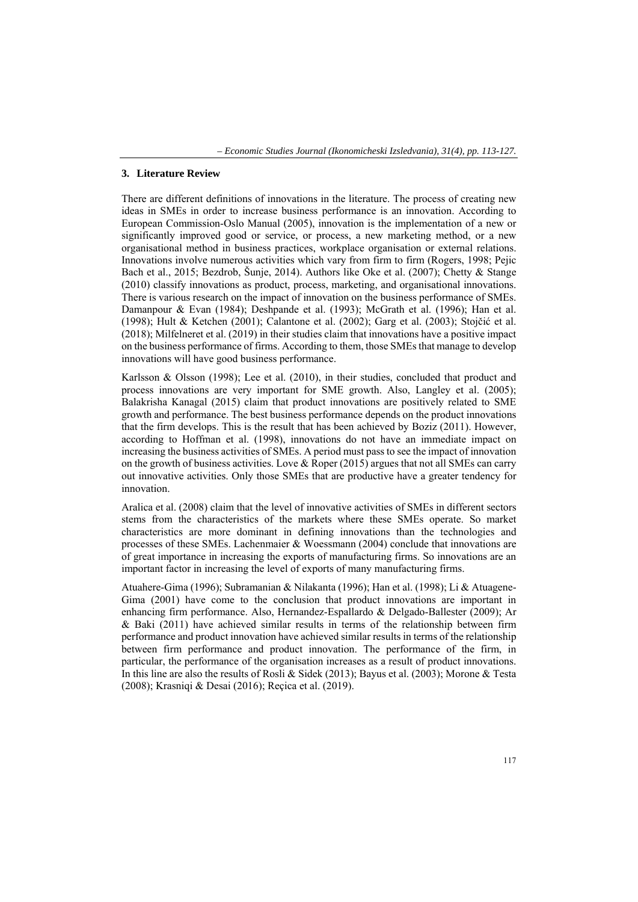#### **3. Literature Review**

There are different definitions of innovations in the literature. The process of creating new ideas in SMEs in order to increase business performance is an innovation. According to European Commission-Oslo Manual (2005), innovation is the implementation of a new or significantly improved good or service, or process, a new marketing method, or a new organisational method in business practices, workplace organisation or external relations. Innovations involve numerous activities which vary from firm to firm (Rogers, 1998; Pejic Bach et al., 2015; Bezdrob, Šunje, 2014). Authors like Oke et al. (2007); Chetty & Stange (2010) classify innovations as product, process, marketing, and organisational innovations. There is various research on the impact of innovation on the business performance of SMEs. Damanpour & Evan (1984); Deshpande et al. (1993); McGrath et al. (1996); Han et al. (1998); Hult & Ketchen (2001); Calantone et al. (2002); Garg et al. (2003); Stojčić et al. (2018); Milfelneret et al. (2019) in their studies claim that innovations have a positive impact on the business performance of firms. According to them, those SMEs that manage to develop innovations will have good business performance.

Karlsson & Olsson (1998); Lee et al. (2010), in their studies, concluded that product and process innovations are very important for SME growth. Also, Langley et al. (2005); Balakrisha Kanagal (2015) claim that product innovations are positively related to SME growth and performance. The best business performance depends on the product innovations that the firm develops. This is the result that has been achieved by Boziz (2011). However, according to Hoffman et al. (1998), innovations do not have an immediate impact on increasing the business activities of SMEs. A period must pass to see the impact of innovation on the growth of business activities. Love & Roper (2015) argues that not all SMEs can carry out innovative activities. Only those SMEs that are productive have a greater tendency for innovation.

Aralica et al. (2008) claim that the level of innovative activities of SMEs in different sectors stems from the characteristics of the markets where these SMEs operate. So market characteristics are more dominant in defining innovations than the technologies and processes of these SMEs. Lachenmaier & Woessmann (2004) conclude that innovations are of great importance in increasing the exports of manufacturing firms. So innovations are an important factor in increasing the level of exports of many manufacturing firms.

Atuahere-Gima (1996); Subramanian & Nilakanta (1996); Han et al. (1998); Li & Atuagene-Gima (2001) have come to the conclusion that product innovations are important in enhancing firm performance. Also, Hernandez-Espallardo & Delgado-Ballester (2009); Ar & Baki (2011) have achieved similar results in terms of the relationship between firm performance and product innovation have achieved similar results in terms of the relationship between firm performance and product innovation. The performance of the firm, in particular, the performance of the organisation increases as a result of product innovations. In this line are also the results of Rosli & Sidek (2013); Bayus et al. (2003); Morone & Testa (2008); Krasniqi & Desai (2016); Reçica et al. (2019).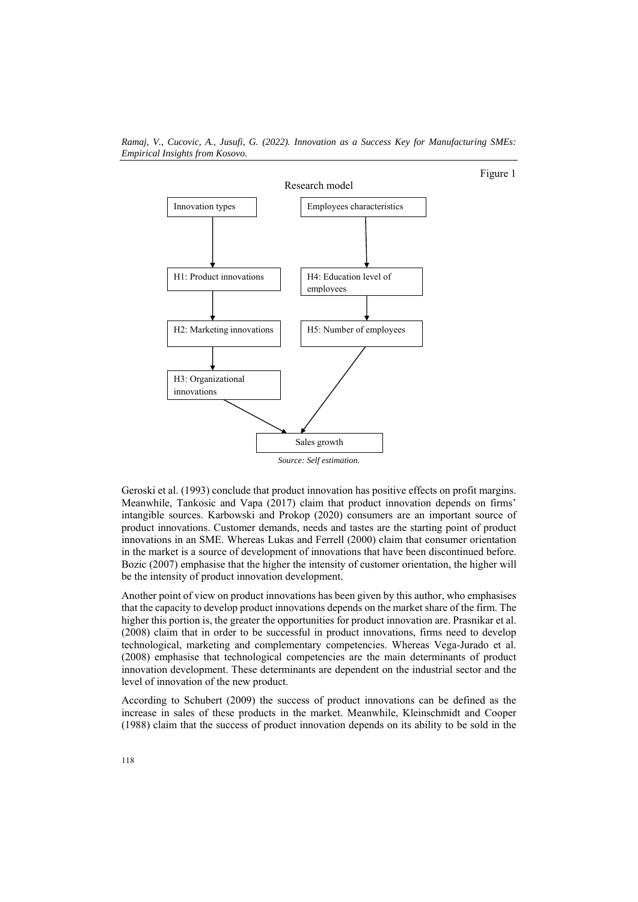

Figure 1



Geroski et al. (1993) conclude that product innovation has positive effects on profit margins. Meanwhile, Tankosic and Vapa (2017) claim that product innovation depends on firms' intangible sources. Karbowski and Prokop (2020) consumers are an important source of product innovations. Customer demands, needs and tastes are the starting point of product innovations in an SME. Whereas Lukas and Ferrell (2000) claim that consumer orientation in the market is a source of development of innovations that have been discontinued before. Bozic (2007) emphasise that the higher the intensity of customer orientation, the higher will be the intensity of product innovation development.

Another point of view on product innovations has been given by this author, who emphasises that the capacity to develop product innovations depends on the market share of the firm. The higher this portion is, the greater the opportunities for product innovation are. Prasnikar et al. (2008) claim that in order to be successful in product innovations, firms need to develop technological, marketing and complementary competencies. Whereas Vega-Jurado et al. (2008) emphasise that technological competencies are the main determinants of product innovation development. These determinants are dependent on the industrial sector and the level of innovation of the new product.

According to Schubert (2009) the success of product innovations can be defined as the increase in sales of these products in the market. Meanwhile, Kleinschmidt and Cooper (1988) claim that the success of product innovation depends on its ability to be sold in the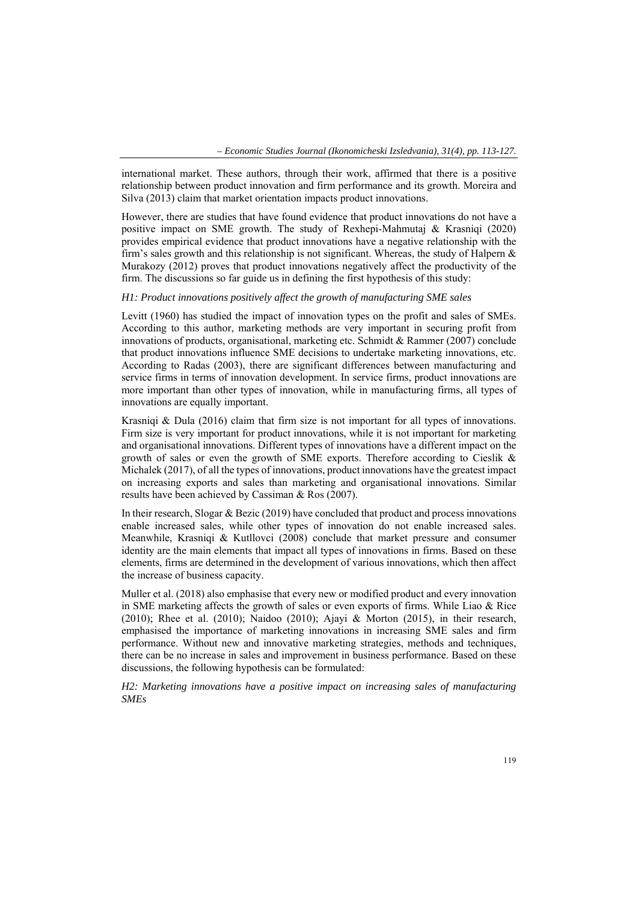international market. These authors, through their work, affirmed that there is a positive relationship between product innovation and firm performance and its growth. Moreira and Silva (2013) claim that market orientation impacts product innovations.

However, there are studies that have found evidence that product innovations do not have a positive impact on SME growth. The study of Rexhepi-Mahmutaj & Krasniqi (2020) provides empirical evidence that product innovations have a negative relationship with the firm's sales growth and this relationship is not significant. Whereas, the study of Halpern & Murakozy (2012) proves that product innovations negatively affect the productivity of the firm. The discussions so far guide us in defining the first hypothesis of this study:

#### *H1: Product innovations positively affect the growth of manufacturing SME sales*

Levitt (1960) has studied the impact of innovation types on the profit and sales of SMEs. According to this author, marketing methods are very important in securing profit from innovations of products, organisational, marketing etc. Schmidt & Rammer (2007) conclude that product innovations influence SME decisions to undertake marketing innovations, etc. According to Radas (2003), there are significant differences between manufacturing and service firms in terms of innovation development. In service firms, product innovations are more important than other types of innovation, while in manufacturing firms, all types of innovations are equally important.

Krasniqi & Dula (2016) claim that firm size is not important for all types of innovations. Firm size is very important for product innovations, while it is not important for marketing and organisational innovations. Different types of innovations have a different impact on the growth of sales or even the growth of SME exports. Therefore according to Cieslik & Michalek (2017), of all the types of innovations, product innovations have the greatest impact on increasing exports and sales than marketing and organisational innovations. Similar results have been achieved by Cassiman & Ros (2007).

In their research, Slogar & Bezic (2019) have concluded that product and process innovations enable increased sales, while other types of innovation do not enable increased sales. Meanwhile, Krasniqi & Kutllovci (2008) conclude that market pressure and consumer identity are the main elements that impact all types of innovations in firms. Based on these elements, firms are determined in the development of various innovations, which then affect the increase of business capacity.

Muller et al. (2018) also emphasise that every new or modified product and every innovation in SME marketing affects the growth of sales or even exports of firms. While Liao & Rice (2010); Rhee et al. (2010); Naidoo (2010); Ajayi & Morton (2015), in their research, emphasised the importance of marketing innovations in increasing SME sales and firm performance. Without new and innovative marketing strategies, methods and techniques, there can be no increase in sales and improvement in business performance. Based on these discussions, the following hypothesis can be formulated:

*H2: Marketing innovations have a positive impact on increasing sales of manufacturing SMEs*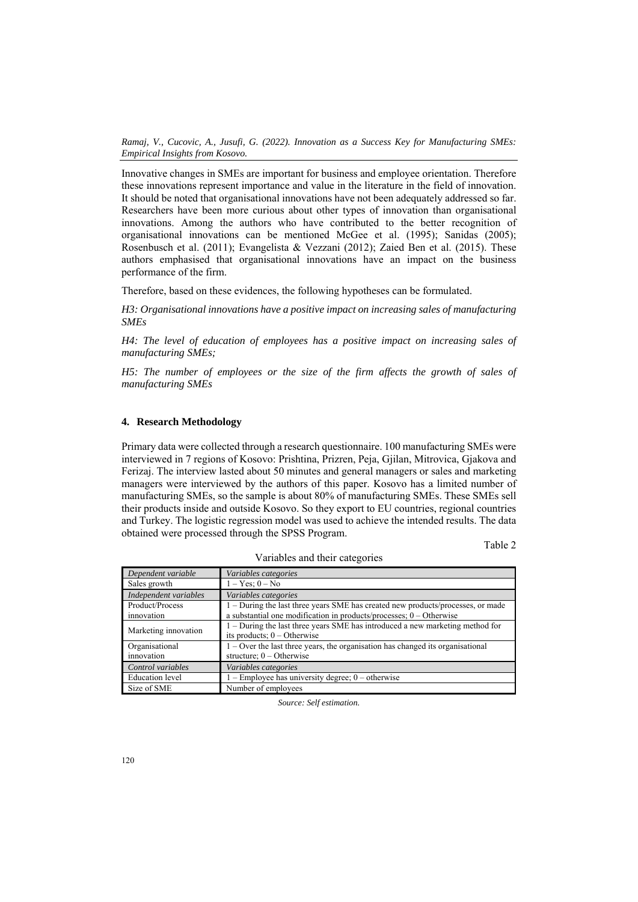Innovative changes in SMEs are important for business and employee orientation. Therefore these innovations represent importance and value in the literature in the field of innovation. It should be noted that organisational innovations have not been adequately addressed so far. Researchers have been more curious about other types of innovation than organisational innovations. Among the authors who have contributed to the better recognition of organisational innovations can be mentioned McGee et al. (1995); Sanidas (2005); Rosenbusch et al. (2011); Evangelista & Vezzani (2012); Zaied Ben et al. (2015). These authors emphasised that organisational innovations have an impact on the business performance of the firm.

Therefore, based on these evidences, the following hypotheses can be formulated.

*H3: Organisational innovations have a positive impact on increasing sales of manufacturing SMEs* 

*H4: The level of education of employees has a positive impact on increasing sales of manufacturing SMEs;* 

*H5: The number of employees or the size of the firm affects the growth of sales of manufacturing SMEs* 

### **4. Research Methodology**

Primary data were collected through a research questionnaire. 100 manufacturing SMEs were interviewed in 7 regions of Kosovo: Prishtina, Prizren, Peja, Gjilan, Mitrovica, Gjakova and Ferizaj. The interview lasted about 50 minutes and general managers or sales and marketing managers were interviewed by the authors of this paper. Kosovo has a limited number of manufacturing SMEs, so the sample is about 80% of manufacturing SMEs. These SMEs sell their products inside and outside Kosovo. So they export to EU countries, regional countries and Turkey. The logistic regression model was used to achieve the intended results. The data obtained were processed through the SPSS Program.

| ٠ |  |
|---|--|
|   |  |

| Dependent variable            | Variables categories                                                                                                                                   |
|-------------------------------|--------------------------------------------------------------------------------------------------------------------------------------------------------|
| Sales growth                  | $1 - Yes$ ; $0 - No$                                                                                                                                   |
| Independent variables         | Variables categories                                                                                                                                   |
| Product/Process<br>innovation | - During the last three years SME has created new products/processes, or made<br>a substantial one modification in products/processes; $0 -$ Otherwise |
| Marketing innovation          | 1 – During the last three years SME has introduced a new marketing method for<br>its products; $0 -$ Otherwise                                         |
| Organisational<br>innovation  | $1 -$ Over the last three years, the organisation has changed its organisational<br>structure; $0 -$ Otherwise                                         |
| Control variables             | Variables categories                                                                                                                                   |
| <b>Education</b> level        | $1 -$ Employee has university degree; $0 -$ otherwise                                                                                                  |
| Size of SME                   | Number of employees                                                                                                                                    |

Variables and their categories

*Source: Self estimation.*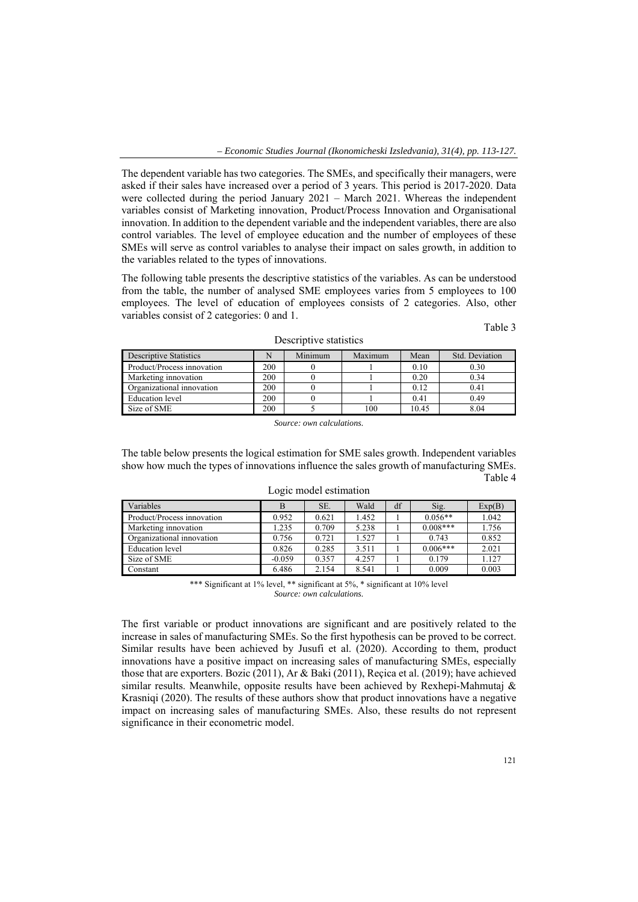The dependent variable has two categories. The SMEs, and specifically their managers, were asked if their sales have increased over a period of 3 years. This period is 2017-2020. Data were collected during the period January 2021 – March 2021. Whereas the independent variables consist of Marketing innovation, Product/Process Innovation and Organisational innovation. In addition to the dependent variable and the independent variables, there are also control variables. The level of employee education and the number of employees of these SMEs will serve as control variables to analyse their impact on sales growth, in addition to the variables related to the types of innovations.

The following table presents the descriptive statistics of the variables. As can be understood from the table, the number of analysed SME employees varies from 5 employees to 100 employees. The level of education of employees consists of 2 categories. Also, other variables consist of 2 categories: 0 and 1.

Table 3

| <b>Descriptive Statistics</b> | N   | Minimum | Maximum | Mean  | Std. Deviation |
|-------------------------------|-----|---------|---------|-------|----------------|
| Product/Process innovation    | 200 |         |         | 0.10  | 0.30           |
| Marketing innovation          | 200 |         |         | 0.20  | 0.34           |
| Organizational innovation     | 200 |         |         | 0.12  | 0.41           |
| Education level               | 200 |         |         | 0.41  | 0.49           |
| Size of SME                   | 200 |         | 100     | 10.45 | 8.04           |

Descriptive statistics

*Source: own calculations.* 

The table below presents the logical estimation for SME sales growth. Independent variables show how much the types of innovations influence the sales growth of manufacturing SMEs. Table 4

| Variables                  | B        | SE.   | Wald  | df | Sig.       | Exp(B) |
|----------------------------|----------|-------|-------|----|------------|--------|
| Product/Process innovation | 0.952    | 0.621 | 1.452 |    | $0.056**$  | 1.042  |
| Marketing innovation       | .235     | 0.709 | 5.238 |    | $0.008***$ | 1.756  |
| Organizational innovation  | 0.756    | 0.721 | 1.527 |    | 0.743      | 0.852  |
| Education level            | 0.826    | 0.285 | 3.511 |    | $0.006***$ | 2.021  |
| Size of SME                | $-0.059$ | 0.357 | 4.257 |    | 0.179      | 1.127  |
| Constant                   | 6.486    | 2.154 | 8.541 |    | 0.009      | 0.003  |

Logic model estimation

\*\*\* Significant at 1% level, \*\* significant at 5%, \* significant at 10% level *Source: own calculations.* 

The first variable or product innovations are significant and are positively related to the increase in sales of manufacturing SMEs. So the first hypothesis can be proved to be correct. Similar results have been achieved by Jusufi et al. (2020). According to them, product innovations have a positive impact on increasing sales of manufacturing SMEs, especially those that are exporters. Bozic (2011), Ar & Baki (2011), Reçica et al. (2019); have achieved similar results. Meanwhile, opposite results have been achieved by Rexhepi-Mahmutaj & Krasniqi (2020). The results of these authors show that product innovations have a negative impact on increasing sales of manufacturing SMEs. Also, these results do not represent significance in their econometric model.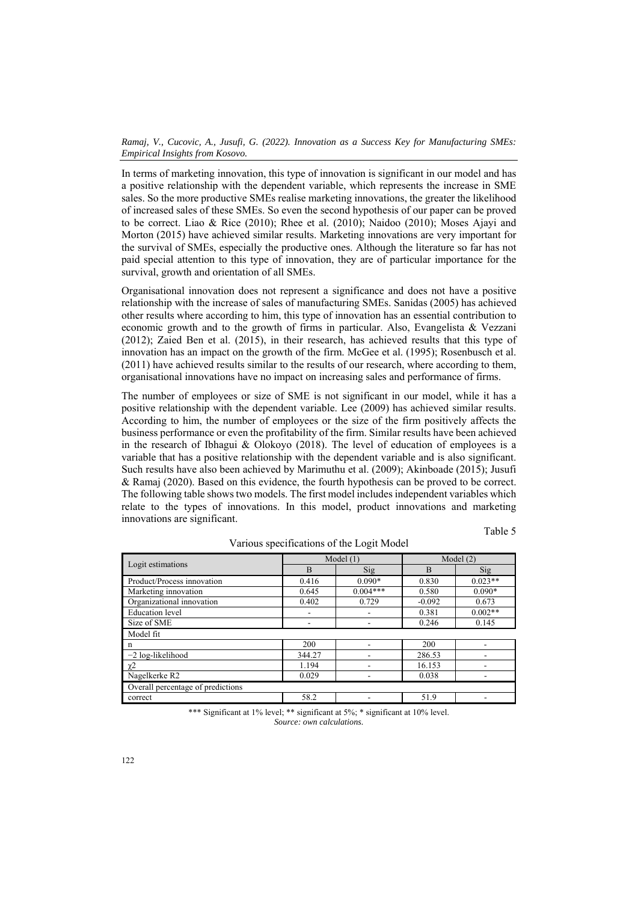In terms of marketing innovation, this type of innovation is significant in our model and has a positive relationship with the dependent variable, which represents the increase in SME sales. So the more productive SMEs realise marketing innovations, the greater the likelihood of increased sales of these SMEs. So even the second hypothesis of our paper can be proved to be correct. Liao & Rice (2010); Rhee et al. (2010); Naidoo (2010); Moses Ajayi and Morton (2015) have achieved similar results. Marketing innovations are very important for the survival of SMEs, especially the productive ones. Although the literature so far has not paid special attention to this type of innovation, they are of particular importance for the survival, growth and orientation of all SMEs.

Organisational innovation does not represent a significance and does not have a positive relationship with the increase of sales of manufacturing SMEs. Sanidas (2005) has achieved other results where according to him, this type of innovation has an essential contribution to economic growth and to the growth of firms in particular. Also, Evangelista & Vezzani (2012); Zaied Ben et al. (2015), in their research, has achieved results that this type of innovation has an impact on the growth of the firm. McGee et al. (1995); Rosenbusch et al. (2011) have achieved results similar to the results of our research, where according to them, organisational innovations have no impact on increasing sales and performance of firms.

The number of employees or size of SME is not significant in our model, while it has a positive relationship with the dependent variable. Lee (2009) has achieved similar results. According to him, the number of employees or the size of the firm positively affects the business performance or even the profitability of the firm. Similar results have been achieved in the research of Ibhagui & Olokoyo (2018). The level of education of employees is a variable that has a positive relationship with the dependent variable and is also significant. Such results have also been achieved by Marimuthu et al. (2009); Akinboade (2015); Jusufi & Ramaj (2020). Based on this evidence, the fourth hypothesis can be proved to be correct. The following table shows two models. The first model includes independent variables which relate to the types of innovations. In this model, product innovations and marketing innovations are significant.

Table 5

| Logit estimations                 |        | Model $(1)$     | Model $(2)$ |           |  |  |  |  |
|-----------------------------------|--------|-----------------|-------------|-----------|--|--|--|--|
|                                   | B      | Si <sub>g</sub> | B           | Sig       |  |  |  |  |
| Product/Process innovation        | 0.416  | $0.090*$        | 0.830       | $0.023**$ |  |  |  |  |
| Marketing innovation              | 0.645  | $0.004***$      | 0.580       | $0.090*$  |  |  |  |  |
| Organizational innovation         | 0.402  | 0.729           | $-0.092$    | 0.673     |  |  |  |  |
| <b>Education</b> level            |        |                 | 0.381       | $0.002**$ |  |  |  |  |
| Size of SME                       |        |                 | 0.246       | 0.145     |  |  |  |  |
| Model fit                         |        |                 |             |           |  |  |  |  |
| n                                 | 200    |                 | 200         |           |  |  |  |  |
| $-2$ log-likelihood               | 344.27 |                 | 286.53      |           |  |  |  |  |
| $\chi^2$                          | 1.194  |                 | 16.153      |           |  |  |  |  |
| Nagelkerke R2                     | 0.029  |                 | 0.038       |           |  |  |  |  |
| Overall percentage of predictions |        |                 |             |           |  |  |  |  |
| correct                           | 58.2   |                 | 51.9        |           |  |  |  |  |

Various specifications of the Logit Model

\*\*\* Significant at 1% level; \*\* significant at 5%; \* significant at 10% level. *Source: own calculations.*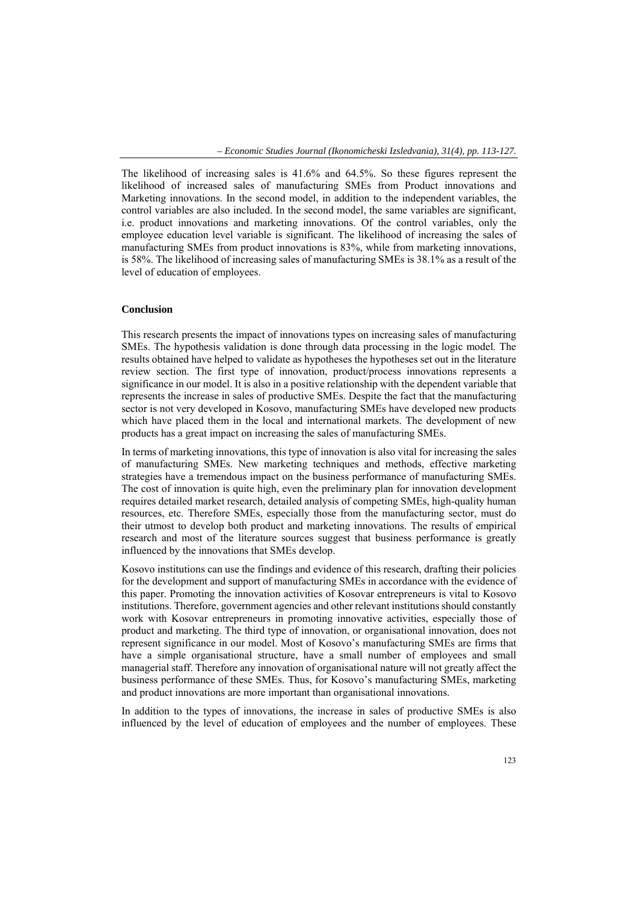The likelihood of increasing sales is 41.6% and 64.5%. So these figures represent the likelihood of increased sales of manufacturing SMEs from Product innovations and Marketing innovations. In the second model, in addition to the independent variables, the control variables are also included. In the second model, the same variables are significant, i.e. product innovations and marketing innovations. Of the control variables, only the employee education level variable is significant. The likelihood of increasing the sales of manufacturing SMEs from product innovations is 83%, while from marketing innovations, is 58%. The likelihood of increasing sales of manufacturing SMEs is 38.1% as a result of the level of education of employees.

## **Conclusion**

This research presents the impact of innovations types on increasing sales of manufacturing SMEs. The hypothesis validation is done through data processing in the logic model. The results obtained have helped to validate as hypotheses the hypotheses set out in the literature review section. The first type of innovation, product/process innovations represents a significance in our model. It is also in a positive relationship with the dependent variable that represents the increase in sales of productive SMEs. Despite the fact that the manufacturing sector is not very developed in Kosovo, manufacturing SMEs have developed new products which have placed them in the local and international markets. The development of new products has a great impact on increasing the sales of manufacturing SMEs.

In terms of marketing innovations, this type of innovation is also vital for increasing the sales of manufacturing SMEs. New marketing techniques and methods, effective marketing strategies have a tremendous impact on the business performance of manufacturing SMEs. The cost of innovation is quite high, even the preliminary plan for innovation development requires detailed market research, detailed analysis of competing SMEs, high-quality human resources, etc. Therefore SMEs, especially those from the manufacturing sector, must do their utmost to develop both product and marketing innovations. The results of empirical research and most of the literature sources suggest that business performance is greatly influenced by the innovations that SMEs develop.

Kosovo institutions can use the findings and evidence of this research, drafting their policies for the development and support of manufacturing SMEs in accordance with the evidence of this paper. Promoting the innovation activities of Kosovar entrepreneurs is vital to Kosovo institutions. Therefore, government agencies and other relevant institutions should constantly work with Kosovar entrepreneurs in promoting innovative activities, especially those of product and marketing. The third type of innovation, or organisational innovation, does not represent significance in our model. Most of Kosovo's manufacturing SMEs are firms that have a simple organisational structure, have a small number of employees and small managerial staff. Therefore any innovation of organisational nature will not greatly affect the business performance of these SMEs. Thus, for Kosovo's manufacturing SMEs, marketing and product innovations are more important than organisational innovations.

In addition to the types of innovations, the increase in sales of productive SMEs is also influenced by the level of education of employees and the number of employees. These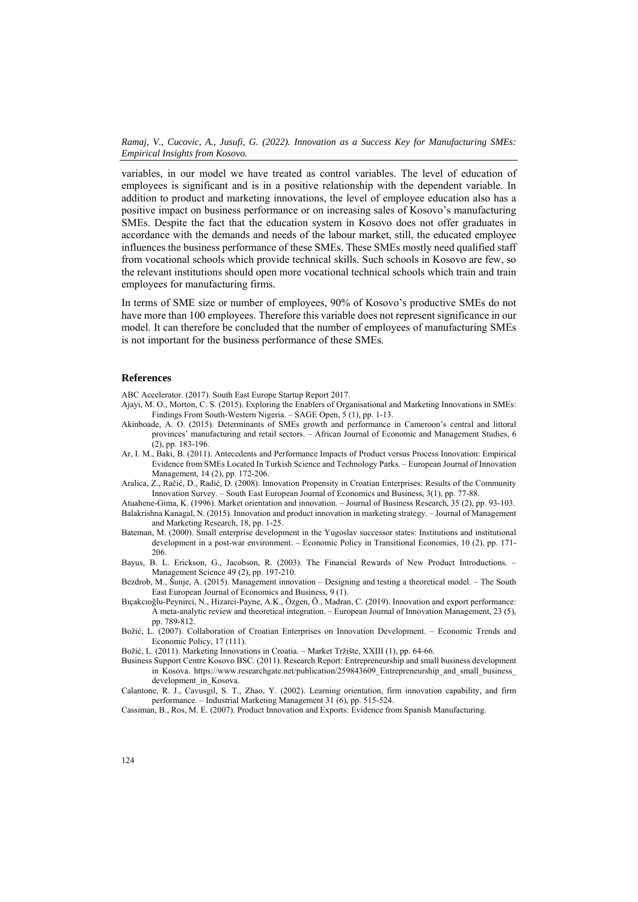variables, in our model we have treated as control variables. The level of education of employees is significant and is in a positive relationship with the dependent variable. In addition to product and marketing innovations, the level of employee education also has a positive impact on business performance or on increasing sales of Kosovo's manufacturing SMEs. Despite the fact that the education system in Kosovo does not offer graduates in accordance with the demands and needs of the labour market, still, the educated employee influences the business performance of these SMEs. These SMEs mostly need qualified staff from vocational schools which provide technical skills. Such schools in Kosovo are few, so the relevant institutions should open more vocational technical schools which train and train employees for manufacturing firms.

In terms of SME size or number of employees, 90% of Kosovo's productive SMEs do not have more than 100 employees. Therefore this variable does not represent significance in our model. It can therefore be concluded that the number of employees of manufacturing SMEs is not important for the business performance of these SMEs.

#### **References**

ABC Accelerator. (2017). South East Europe Startup Report 2017.

- Ajayi, M. O., Morton, C. S. (2015). Exploring the Enablers of Organisational and Marketing Innovations in SMEs: Findings From South-Western Nigeria. – SAGE Open, 5 (1), pp. 1-13.
- Akinboade, A. O. (2015). Determinants of SMEs growth and performance in Cameroon's central and littoral provinces' manufacturing and retail sectors. – African Journal of Economic and Management Studies, 6 (2), pp. 183-196.
- Ar, I. M., Baki, B. (2011). Antecedents and Performance Impacts of Product versus Process Innovation: Empirical Evidence from SMEs Located In Turkish Science and Technology Parks. – European Journal of Innovation Management*,* 14 (2), pp. 172-206.
- Aralica, Z., Račić, D., Radić, D. (2008). Innovation Propensity in Croatian Enterprises: Results of the Community Innovation Survey. – South East European Journal of Economics and Business, 3(1), pp. 77-88.

Atuahene-Gima, K. (1996). Market orientation and innovation. – Journal of Business Research*,* 35 (2), pp. 93-103. Balakrishna Kanagal, N. (2015). Innovation and product innovation in marketing strategy. – Journal of Management and Marketing Research, 18, pp. 1-25.

- Bateman, M. (2000). Small enterprise development in the Yugoslav successor states: Institutions and institutional development in a post-war environment. – Economic Policy in Transitional Economies, 10 (2), pp. 171- 206.
- Bayus, B. L. Erickson, G., Jacobson, R. (2003). The Financial Rewards of New Product Introductions. Management Science 49 (2), pp. 197-210.
- Bezdrob, M., Šunje, A. (2015). Management innovation Designing and testing a theoretical model. The South East European Journal of Economics and Business, 9 (1).
- Bıçakcıoğlu-Peynirci, N., Hizarci-Payne, A.K., Özgen, Ö., Madran, C. (2019). Innovation and export performance: A meta-analytic review and theoretical integration. – European Journal of Innovation Management, 23 (5), pp. 789-812.
- Božić, L. (2007). Collaboration of Croatian Enterprises on Innovation Development. Economic Trends and Economic Policy, 17 (111).
- Božić, L. (2011). Marketing Innovations in Croatia. Market Tržište, XXIII (1), pp. 64-66.
- Business Support Centre Kosovo BSC. (2011). Research Report: Entrepreneurship and small business development in Kosova. https://www.researchgate.net/publication/259843609 Entrepreneurship\_and\_small\_business development\_in\_Kosova.
- Calantone, R. J., Cavusgil, S. T., Zhao, Y. (2002). Learning orientation, firm innovation capability, and firm performance. – Industrial Marketing Management 31 (6), pp. 515-524.

Cassiman, B., Ros, M. E. (2007). Product Innovation and Exports: Evidence from Spanish Manufacturing.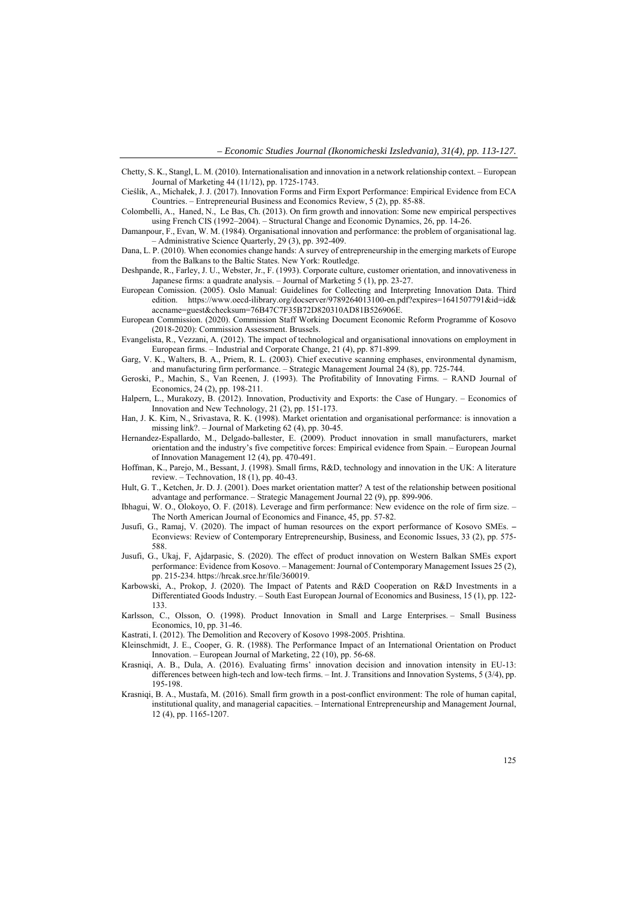- Chetty, S. K., Stangl, L. M. (2010). Internationalisation and innovation in a network relationship context. European Journal of Marketing 44 (11/12), pp. 1725-1743.
- Cieślik, A., Michałek, J. J. (2017). Innovation Forms and Firm Export Performance: Empirical Evidence from ECA Countries. – Entrepreneurial Business and Economics Review, 5 (2), pp. 85-88.
- Colombelli, A., Haned, N., Le Bas, Ch. (2013). On firm growth and innovation: Some new empirical perspectives using French CIS (1992–2004). – Structural Change and Economic Dynamics, 26, pp. 14-26.
- Damanpour, F., Evan, W. M. (1984). Organisational innovation and performance: the problem of organisational lag. – Administrative Science Quarterly, 29 (3), pp. 392-409.
- Dana, L. P. (2010). When economies change hands: A survey of entrepreneurship in the emerging markets of Europe from the Balkans to the Baltic States. New York: Routledge.
- Deshpande, R., Farley, J. U., Webster, Jr., F. (1993). Corporate culture, customer orientation, and innovativeness in Japanese firms: a quadrate analysis. – Journal of Marketing 5 (1), pp. 23-27.
- European Comission. (2005). Oslo Manual: Guidelines for Collecting and Interpreting Innovation Data. Third edition. https://www.oecd-ilibrary.org/docserver/9789264013100-en.pdf?expires=1641507791&id=id& accname=guest&checksum=76B47C7F35B72D820310AD81B526906E.
- European Commission. (2020). Commission Staff Working Document Economic Reform Programme of Kosovo (2018-2020): Commission Assessment. Brussels.
- Evangelista, R., Vezzani, A. (2012). The impact of technological and organisational innovations on employment in European firms. – Industrial and Corporate Change, 21 (4), pp. 871-899.
- Garg, V. K., Walters, B. A., Priem, R. L. (2003). Chief executive scanning emphases, environmental dynamism, and manufacturing firm performance. – Strategic Management Journal 24 (8), pp. 725-744.
- Geroski, P., Machin, S., Van Reenen, J. (1993). The Profitability of Innovating Firms. RAND Journal of Economics, 24 (2), pp. 198-211.
- Halpern, L., Murakozy, B. (2012). Innovation, Productivity and Exports: the Case of Hungary. Economics of Innovation and New Technology, 21 (2), pp. 151-173.
- Han, J. K. Kim, N., Srivastava, R. K. (1998). Market orientation and organisational performance: is innovation a missing link?. – Journal of Marketing 62 (4), pp. 30-45.
- Hernandez-Espallardo, M., Delgado-ballester, E. (2009). Product innovation in small manufacturers, market orientation and the industry's five competitive forces: Empirical evidence from Spain. – European Journal of Innovation Management 12 (4), pp. 470-491.
- Hoffman, K., Parejo, M., Bessant, J. (1998). Small firms, R&D, technology and innovation in the UK: A literature review. – Technovation, 18 (1), pp. 40-43.
- Hult, G. T., Ketchen, Jr. D. J. (2001). Does market orientation matter? A test of the relationship between positional advantage and performance. – Strategic Management Journal 22 (9), pp. 899-906.
- Ibhagui, W. O., Olokoyo, O. F. (2018). Leverage and firm performance: New evidence on the role of firm size. The North American Journal of Economics and Finance, 45, pp. 57-82.
- Jusufi, G., Ramaj, V. (2020). The impact of human resources on the export performance of Kosovo SMEs. Econviews: Review of Contemporary Entrepreneurship, Business, and Economic Issues, 33 (2), pp. 575- 588.
- Jusufi, G., Ukaj, F, Ajdarpasic, S. (2020). The effect of product innovation on Western Balkan SMEs export performance: Evidence from Kosovo. – Management: Journal of Contemporary Management Issues 25 (2), pp. 215-234. https://hrcak.srce.hr/file/360019.
- Karbowski, A., Prokop, J. (2020). The Impact of Patents and R&D Cooperation on R&D Investments in a Differentiated Goods Industry. – South East European Journal of Economics and Business, 15 (1), pp. 122- 133.
- Karlsson, C., Olsson, O. (1998). Product Innovation in Small and Large Enterprises. Small Business Economics, 10, pp. 31-46.
- Kastrati, I. (2012). The Demolition and Recovery of Kosovo 1998-2005. Prishtina.
- Kleinschmidt, J. E., Cooper, G. R. (1988). The Performance Impact of an International Orientation on Product Innovation. – European Journal of Marketing, 22 (10), pp. 56-68.
- Krasniqi, A. B., Dula, A. (2016). Evaluating firms' innovation decision and innovation intensity in EU-13: differences between high-tech and low-tech firms. – Int. J. Transitions and Innovation Systems, 5 (3/4), pp. 195-198.
- Krasniqi, B. A., Mustafa, M. (2016). Small firm growth in a post-conflict environment: The role of human capital, institutional quality, and managerial capacities. – International Entrepreneurship and Management Journal, 12 (4), pp. 1165-1207.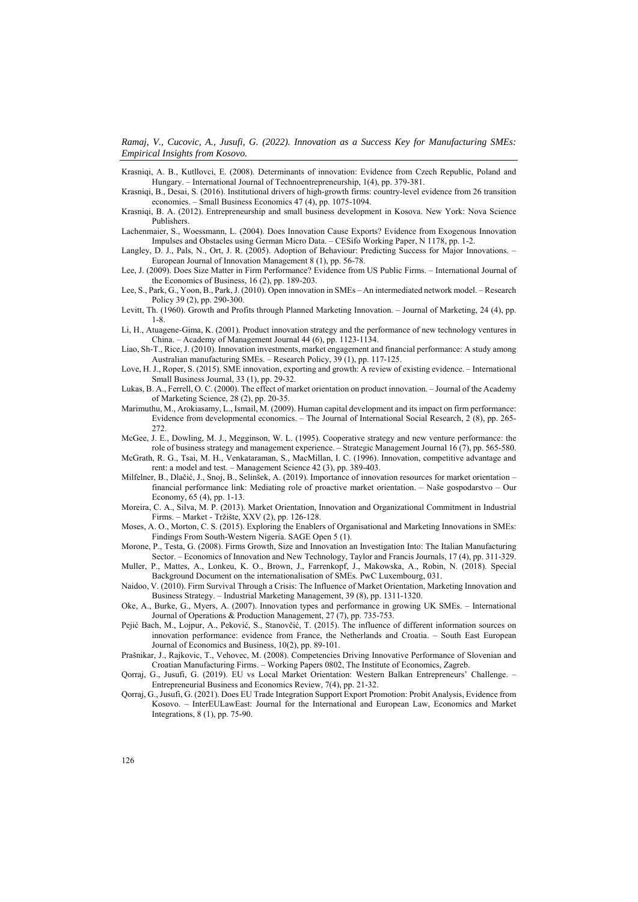Krasniqi, A. B., Kutllovci, E. (2008). Determinants of innovation: Evidence from Czech Republic, Poland and Hungary. – International Journal of Technoentrepreneurship, 1(4), pp. 379-381.

Krasniqi, B., Desai, S. (2016). Institutional drivers of high-growth firms: country-level evidence from 26 transition economies. – Small Business Economics 47 (4), pp. 1075-1094.

Krasniqi, B. A. (2012). Entrepreneurship and small business development in Kosova. New York: Nova Science Publishers.

Lachenmaier, S., Woessmann, L. (2004). Does Innovation Cause Exports? Evidence from Exogenous Innovation Impulses and Obstacles using German Micro Data. – CESifo Working Paper, N 1178, pp. 1-2.

Langley, D. J., Pals, N., Ort, J. R. (2005). Adoption of Behaviour: Predicting Success for Major Innovations. – European Journal of Innovation Management 8 (1), pp. 56-78.

Lee, J. (2009). Does Size Matter in Firm Performance? Evidence from US Public Firms. – International Journal of the Economics of Business, 16 (2), pp. 189-203.

Lee, S., Park, G., Yoon, B., Park, J. (2010). Open innovation in SMEs – An intermediated network model. – Research Policy 39 (2), pp. 290-300.

Levitt, Th. (1960). Growth and Profits through Planned Marketing Innovation. – Journal of Marketing, 24 (4), pp. 1-8.

Li, H., Atuagene-Gima, K. (2001). Product innovation strategy and the performance of new technology ventures in China. – Academy of Management Journal 44 (6), pp. 1123-1134.

Liao, Sh-T., Rice, J. (2010). Innovation investments, market engagement and financial performance: A study among Australian manufacturing SMEs. – Research Policy, 39 (1), pp. 117-125.

Love, H. J., Roper, S. (2015). SME innovation, exporting and growth: A review of existing evidence. – International Small Business Journal, 33 (1), pp. 29-32.

Lukas, B. A., Ferrell, O. C. (2000). The effect of market orientation on product innovation. – Journal of the Academy of Marketing Science, 28 (2), pp. 20-35.

- Marimuthu, M., Arokiasamy, L., Ismail, M. (2009). Human capital development and its impact on firm performance: Evidence from developmental economics. – The Journal of International Social Research, 2 (8), pp. 265- 272.
- McGee, J. E., Dowling, M. J., Megginson, W. L. (1995). Cooperative strategy and new venture performance: the role of business strategy and management experience. – Strategic Management Journal 16 (7), pp. 565-580.

McGrath, R. G., Tsai, M. H., Venkataraman, S., MacMillan, I. C. (1996). Innovation, competitive advantage and rent: a model and test. – Management Science 42 (3), pp. 389-403.

Milfelner, B., Dlačić, J., Snoj, B., Selinšek, A. (2019). Importance of innovation resources for market orientation – financial performance link: Mediating role of proactive market orientation. – Naše gospodarstvo – Our Economy, 65 (4), pp. 1-13.

Moreira, C. A., Silva, M. P. (2013). Market Orientation, Innovation and Organizational Commitment in Industrial Firms. – Market - Tržište, XXV (2), pp. 126-128.

Moses, A. O., Morton, C. S. (2015). Exploring the Enablers of Organisational and Marketing Innovations in SMEs: Findings From South-Western Nigeria. SAGE Open 5 (1).

Morone, P., Testa, G. (2008). Firms Growth, Size and Innovation an Investigation Into: The Italian Manufacturing Sector. – Economics of Innovation and New Technology, Taylor and Francis Journals, 17 (4), pp. 311-329.

- Muller, P., Mattes, A., Lonkeu, K. O., Brown, J., Farrenkopf, J., Makowska, A., Robin, N. (2018). Special Background Document on the internationalisation of SMEs. PwC Luxembourg, 031.
- Naidoo, V. (2010). Firm Survival Through a Crisis: The Influence of Market Orientation, Marketing Innovation and Business Strategy. – Industrial Marketing Management, 39 (8), pp. 1311-1320.

Oke, A., Burke, G., Myers, A. (2007). Innovation types and performance in growing UK SMEs. – International Journal of Operations & Production Management, 27 (7), pp. 735-753.

- Pejić Bach, M., Lojpur, A., Peković, S., Stanovčić, T. (2015). The influence of different information sources on innovation performance: evidence from France, the Netherlands and Croatia. – South East European Journal of Economics and Business, 10(2), pp. 89-101.
- Prašnikar, J., Rajkovic, T., Vehovec, M. (2008). Competencies Driving Innovative Performance of Slovenian and Croatian Manufacturing Firms. – Working Papers 0802, The Institute of Economics, Zagreb.

Qorraj, G., Jusufi, G. (2019). EU vs Local Market Orientation: Western Balkan Entrepreneurs' Challenge. – Entrepreneurial Business and Economics Review, 7(4), pp. 21-32.

Qorraj, G., Jusufi, G. (2021). Does EU Trade Integration Support Export Promotion: Probit Analysis, Evidence from Kosovo. – InterEULawEast: Journal for the International and European Law, Economics and Market Integrations, 8 (1), pp. 75-90.